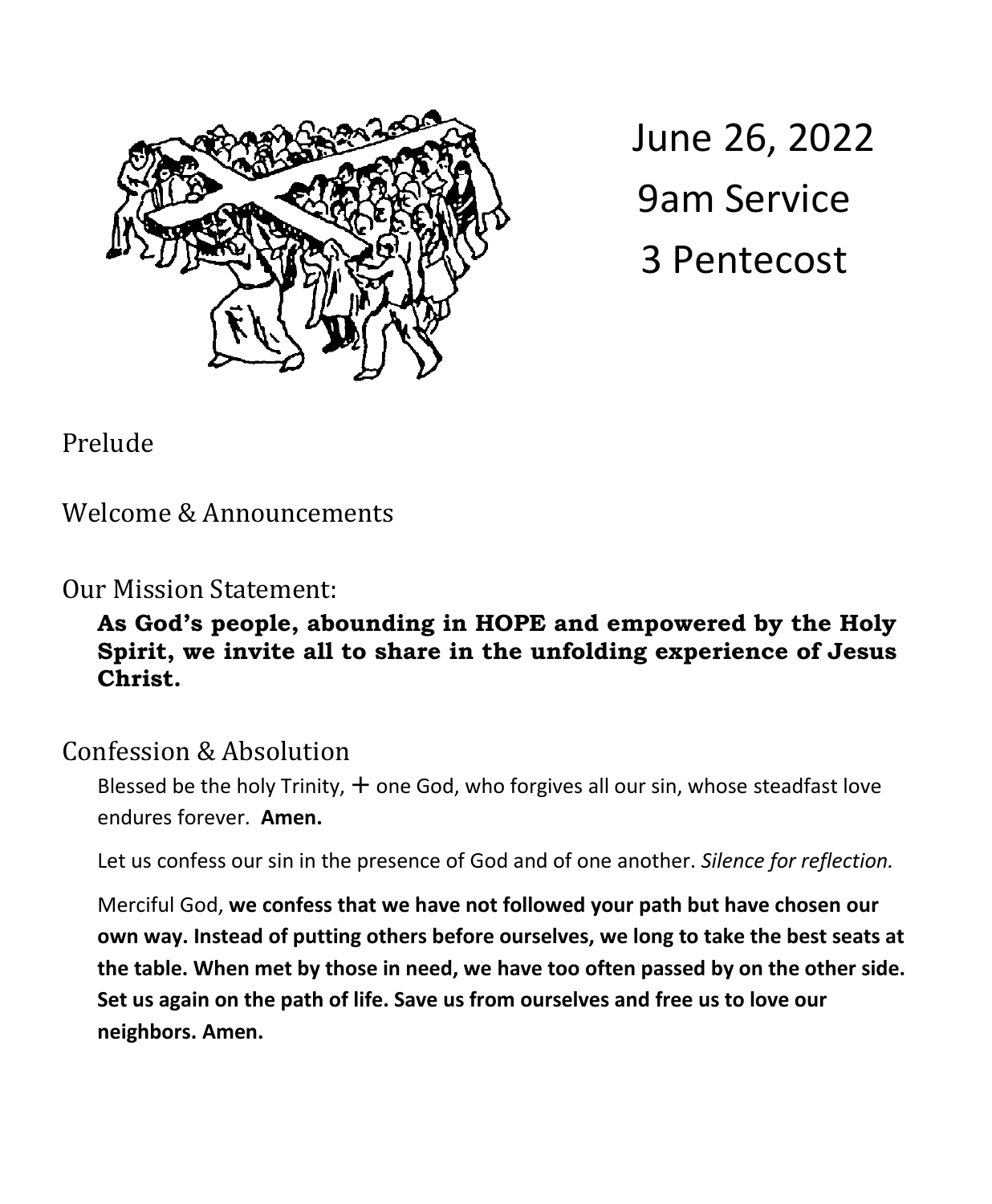

 June 26, 2022 9am Service 3 Pentecost

Prelude

#### Welcome & Announcements

Our Mission Statement:

**As God's people, abounding in HOPE and empowered by the Holy Spirit, we invite all to share in the unfolding experience of Jesus Christ.**

Confession & Absolution

Blessed be the holy Trinity,  $+$  one God, who forgives all our sin, whose steadfast love endures forever. **Amen.** 

Let us confess our sin in the presence of God and of one another. *Silence for reflection.*

Merciful God, **we confess that we have not followed your path but have chosen our own way. Instead of putting others before ourselves, we long to take the best seats at the table. When met by those in need, we have too often passed by on the other side. Set us again on the path of life. Save us from ourselves and free us to love our neighbors. Amen.**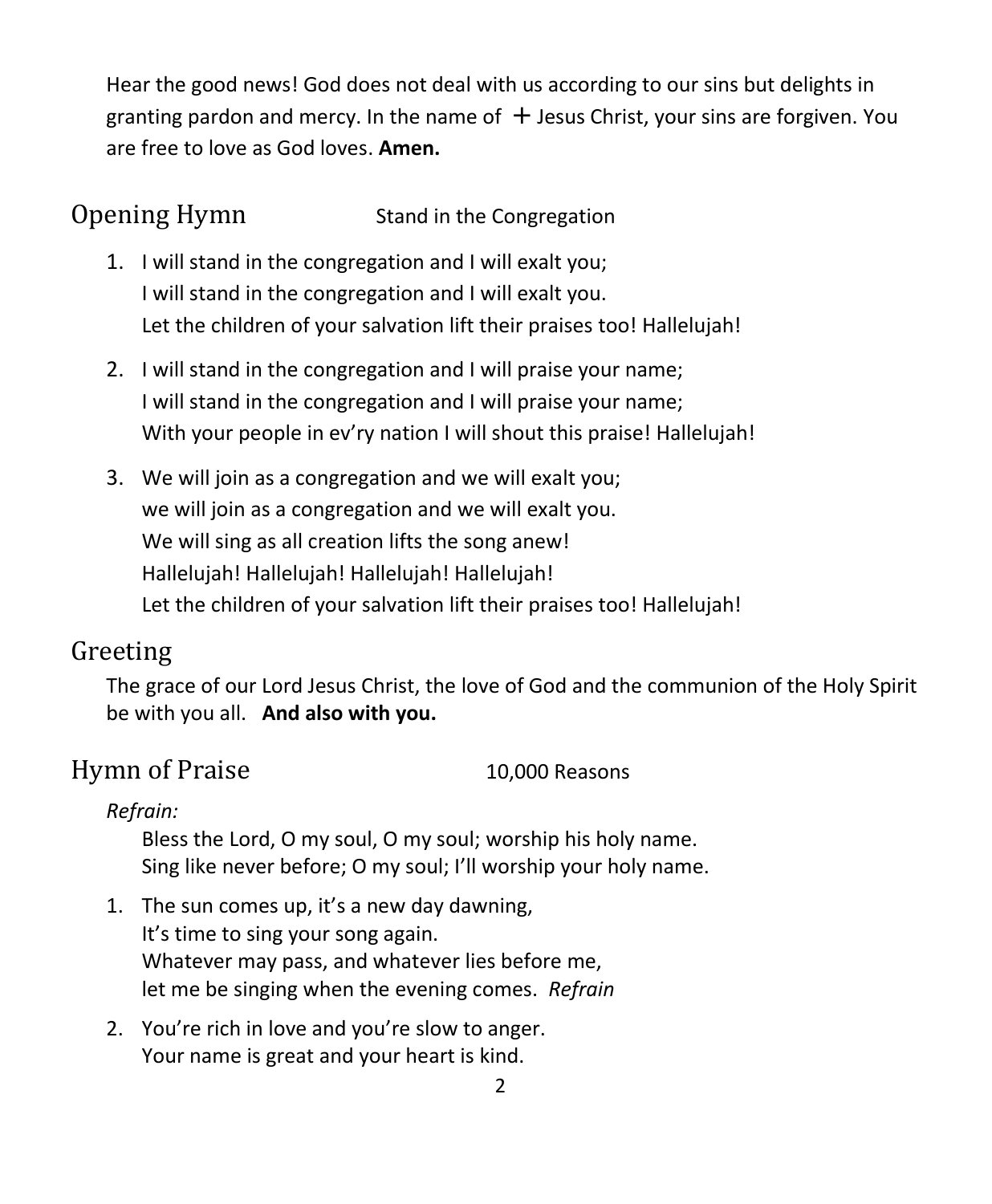Hear the good news! God does not deal with us according to our sins but delights in granting pardon and mercy. In the name of  $+$  Jesus Christ, your sins are forgiven. You are free to love as God loves. **Amen.**

#### Opening Hymn Stand in the Congregation

- 1. I will stand in the congregation and I will exalt you; I will stand in the congregation and I will exalt you. Let the children of your salvation lift their praises too! Hallelujah!
- 2. I will stand in the congregation and I will praise your name; I will stand in the congregation and I will praise your name; With your people in ev'ry nation I will shout this praise! Hallelujah!
- 3. We will join as a congregation and we will exalt you; we will join as a congregation and we will exalt you. We will sing as all creation lifts the song anew! Hallelujah! Hallelujah! Hallelujah! Hallelujah! Let the children of your salvation lift their praises too! Hallelujah!

#### Greeting

The grace of our Lord Jesus Christ, the love of God and the communion of the Holy Spirit be with you all. **And also with you.**

## Hymn of Praise 10,000 Reasons

#### *Refrain:*

Bless the Lord, O my soul, O my soul; worship his holy name. Sing like never before; O my soul; I'll worship your holy name.

- 1. The sun comes up, it's a new day dawning, It's time to sing your song again. Whatever may pass, and whatever lies before me, let me be singing when the evening comes. *Refrain*
- 2. You're rich in love and you're slow to anger. Your name is great and your heart is kind.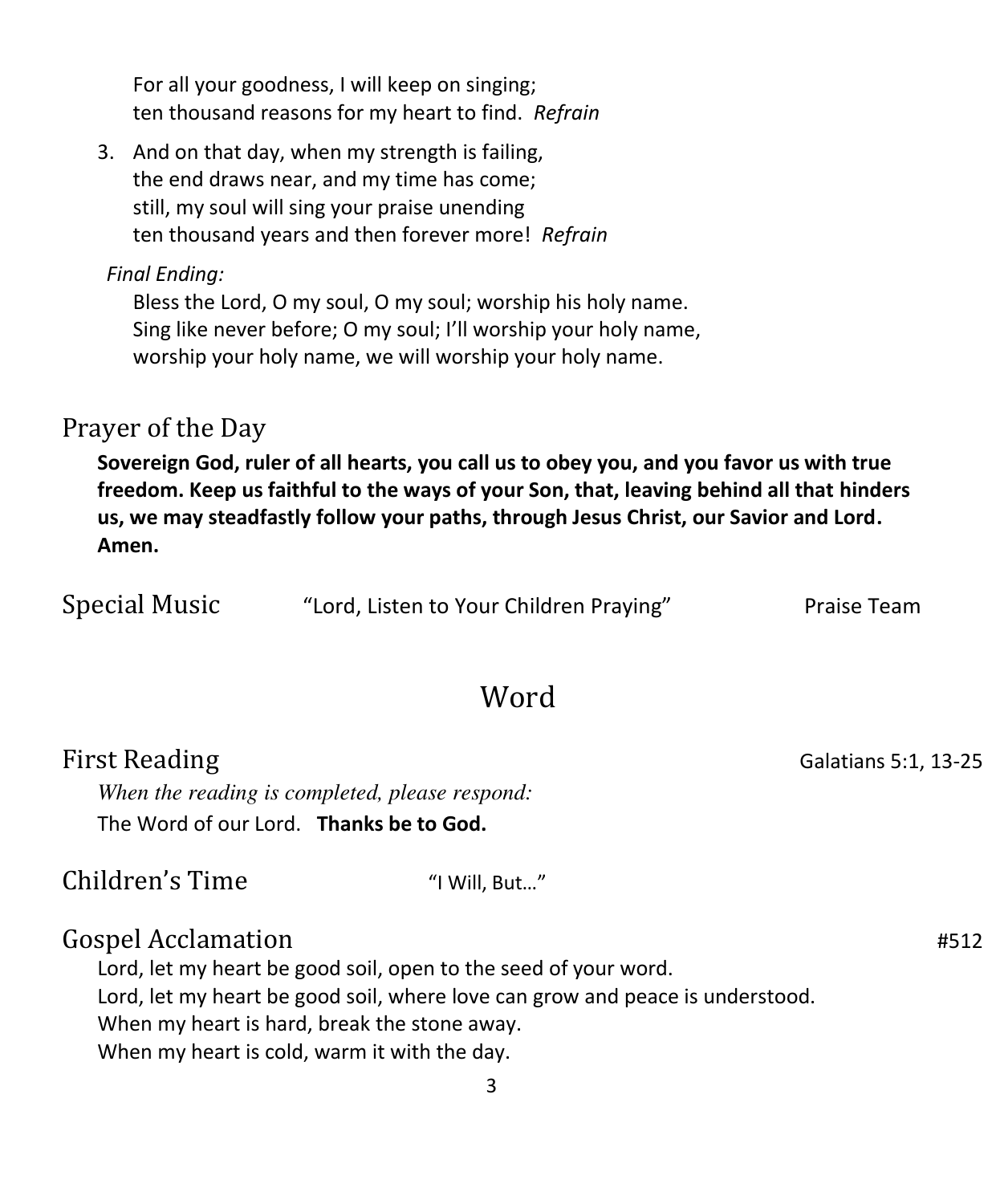3 **Sovereign God, ruler of all hearts, you call us to obey you, and you favor us with true freedom. Keep us faithful to the ways of your Son, that, leaving behind all that hinders us, we may steadfastly follow your paths, through Jesus Christ, our Savior and Lord. Amen.** Special Music "Lord, Listen to Your Children Praying" Praise Team Word First Reading Galatians 5:1, 13-25 *When the reading is completed, please respond:* The Word of our Lord. **Thanks be to God.** Children's Time "I Will, But…" Gospel Acclamation #512 Lord, let my heart be good soil, open to the seed of your word. Lord, let my heart be good soil, where love can grow and peace is understood. When my heart is hard, break the stone away. When my heart is cold, warm it with the day.

For all your goodness, I will keep on singing; ten thousand reasons for my heart to find. *Refrain*

3. And on that day, when my strength is failing, the end draws near, and my time has come; still, my soul will sing your praise unending ten thousand years and then forever more! *Refrain*

*Final Ending:*

Bless the Lord, O my soul, O my soul; worship his holy name. Sing like never before; O my soul; I'll worship your holy name, worship your holy name, we will worship your holy name.

#### Prayer of the Day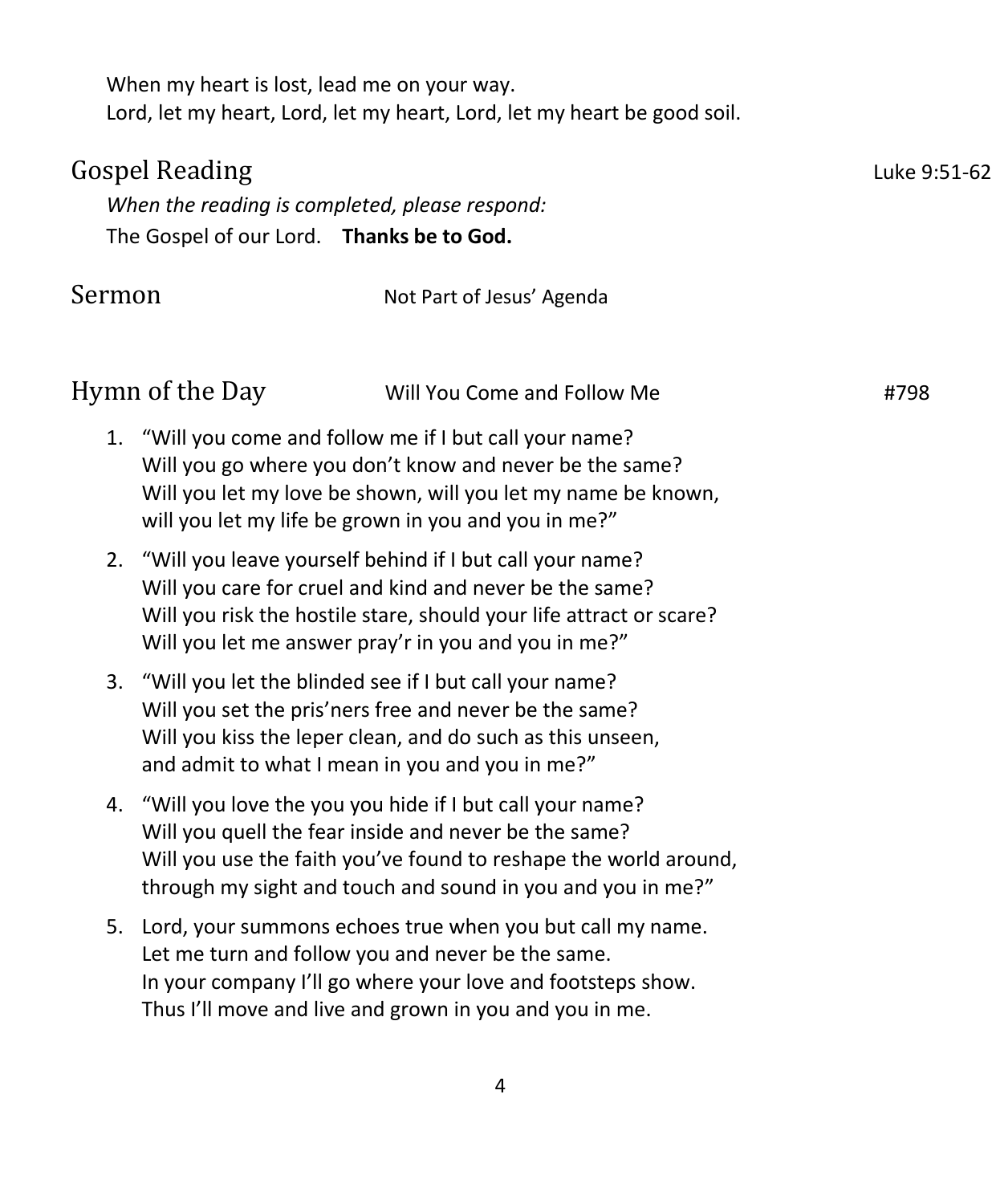When my heart is lost, lead me on your way. Lord, let my heart, Lord, let my heart, Lord, let my heart be good soil. Gospel Reading Luke 9:51-62 *When the reading is completed, please respond:*  The Gospel of our Lord. **Thanks be to God.**  Sermon Not Part of Jesus' Agenda Hymn of the Day Will You Come and Follow Me 1. "Will you come and follow me if I but call your name? Will you go where you don't know and never be the same? Will you let my love be shown, will you let my name be known, will you let my life be grown in you and you in me?" 2. "Will you leave yourself behind if I but call your name? Will you care for cruel and kind and never be the same? Will you risk the hostile stare, should your life attract or scare? Will you let me answer pray'r in you and you in me?" 3. "Will you let the blinded see if I but call your name? Will you set the pris'ners free and never be the same? Will you kiss the leper clean, and do such as this unseen, and admit to what I mean in you and you in me?" 4. "Will you love the you you hide if I but call your name? Will you quell the fear inside and never be the same? Will you use the faith you've found to reshape the world around, through my sight and touch and sound in you and you in me?" 5. Lord, your summons echoes true when you but call my name. Let me turn and follow you and never be the same. In your company I'll go where your love and footsteps show. Thus I'll move and live and grown in you and you in me.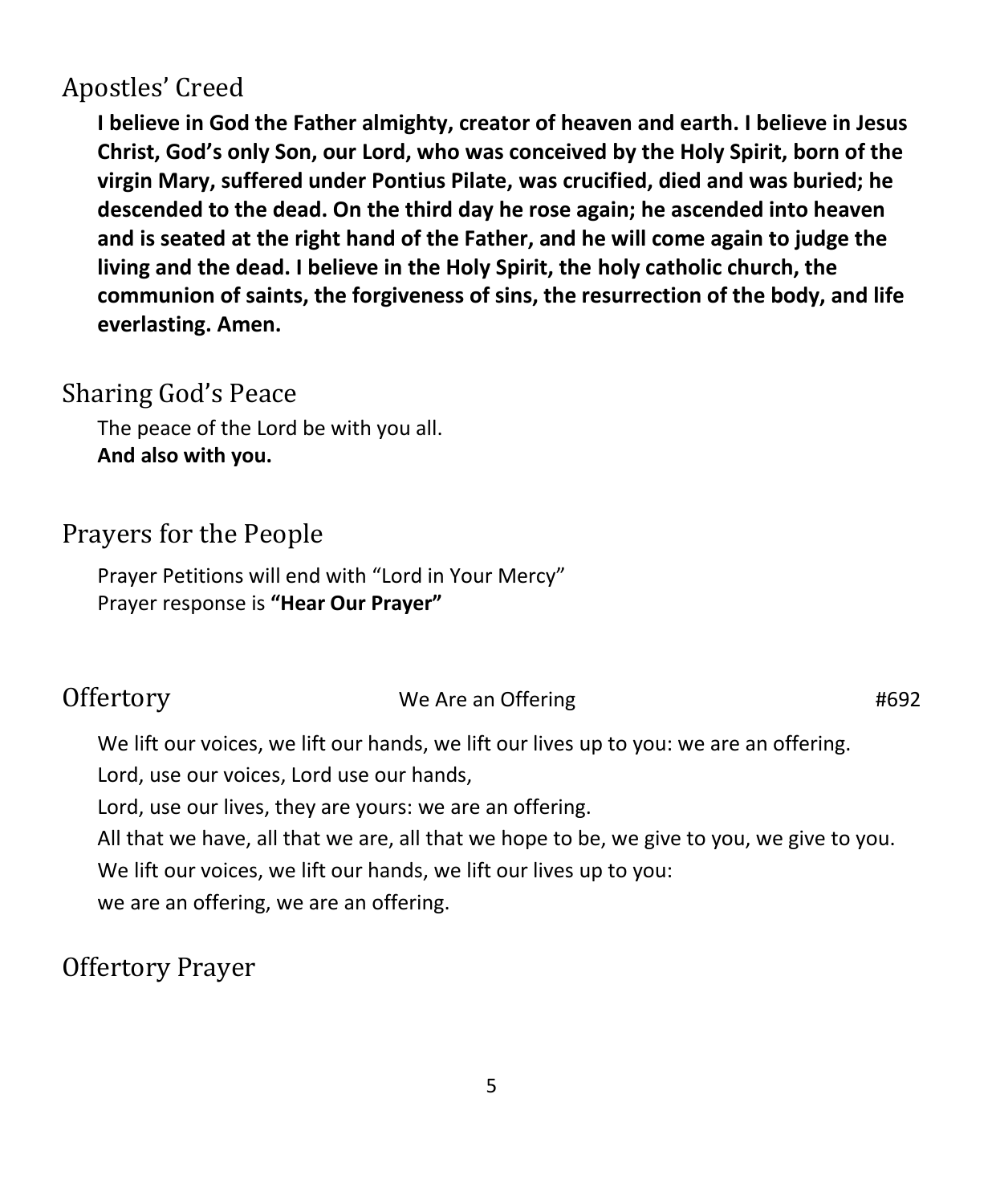## Apostles' Creed

**I believe in God the Father almighty, creator of heaven and earth. I believe in Jesus Christ, God's only Son, our Lord, who was conceived by the Holy Spirit, born of the virgin Mary, suffered under Pontius Pilate, was crucified, died and was buried; he descended to the dead. On the third day he rose again; he ascended into heaven and is seated at the right hand of the Father, and he will come again to judge the living and the dead. I believe in the Holy Spirit, the holy catholic church, the communion of saints, the forgiveness of sins, the resurrection of the body, and life everlasting. Amen.**

#### Sharing God's Peace

The peace of the Lord be with you all. **And also with you.** 

## Prayers for the People

Prayer Petitions will end with "Lord in Your Mercy" Prayer response is **"Hear Our Prayer"**

Offertory We Are an Offering **EXECUTE:** #692

We lift our voices, we lift our hands, we lift our lives up to you: we are an offering.

Lord, use our voices, Lord use our hands,

Lord, use our lives, they are yours: we are an offering.

All that we have, all that we are, all that we hope to be, we give to you, we give to you.

We lift our voices, we lift our hands, we lift our lives up to you:

we are an offering, we are an offering.

## Offertory Prayer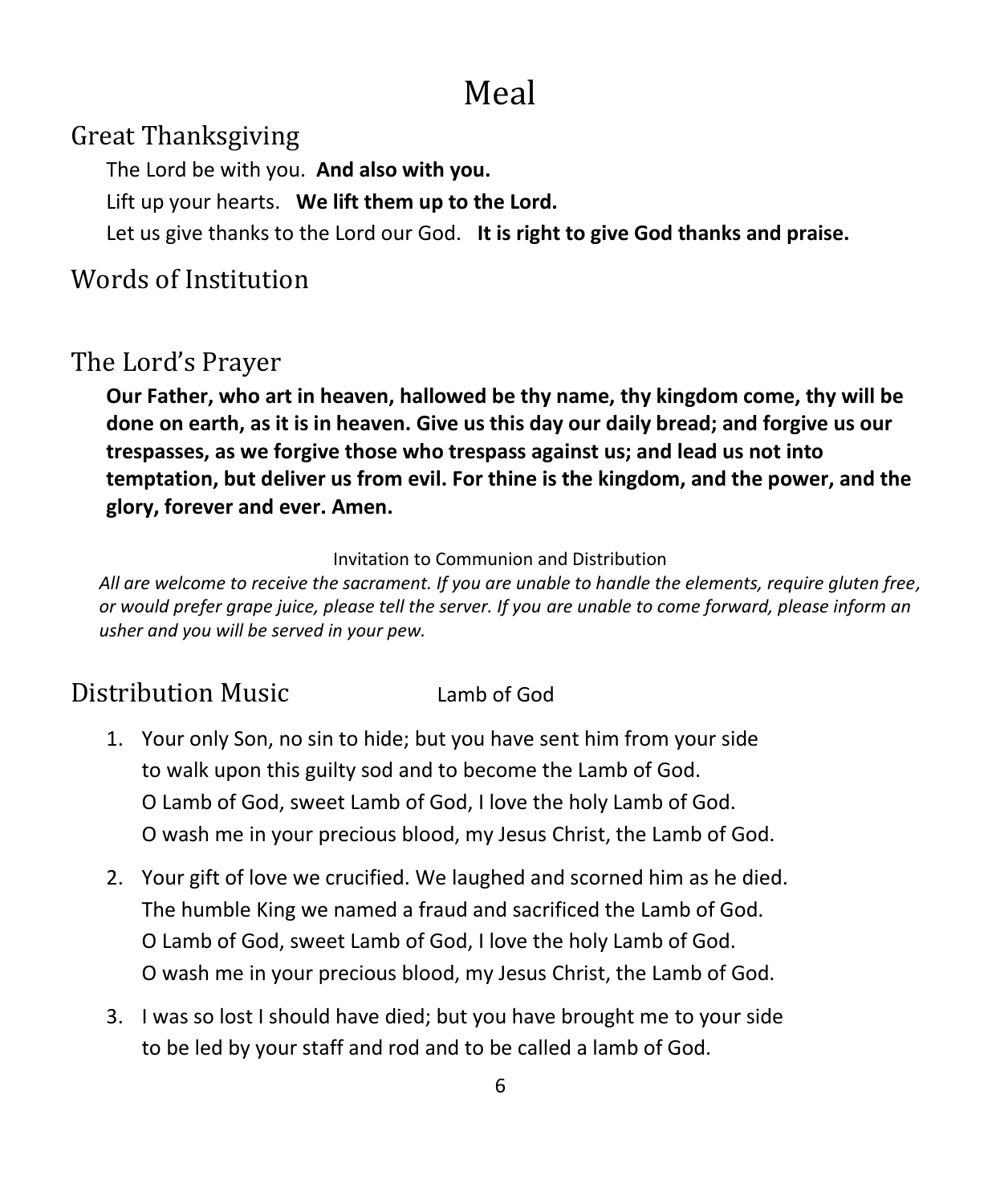# Meal

#### Great Thanksgiving

The Lord be with you. **And also with you.**

Lift up your hearts. **We lift them up to the Lord.**

Let us give thanks to the Lord our God. **It is right to give God thanks and praise.**

## Words of Institution

## The Lord's Prayer

**Our Father, who art in heaven, hallowed be thy name, thy kingdom come, thy will be done on earth, as it is in heaven. Give us this day our daily bread; and forgive us our trespasses, as we forgive those who trespass against us; and lead us not into temptation, but deliver us from evil. For thine is the kingdom, and the power, and the glory, forever and ever. Amen.** 

#### Invitation to Communion and Distribution

*All are welcome to receive the sacrament. If you are unable to handle the elements, require gluten free, or would prefer grape juice, please tell the server. If you are unable to come forward, please inform an usher and you will be served in your pew.* 

## Distribution Music Lamb of God

- 1. Your only Son, no sin to hide; but you have sent him from your side to walk upon this guilty sod and to become the Lamb of God. O Lamb of God, sweet Lamb of God, I love the holy Lamb of God. O wash me in your precious blood, my Jesus Christ, the Lamb of God.
- 2. Your gift of love we crucified. We laughed and scorned him as he died. The humble King we named a fraud and sacrificed the Lamb of God. O Lamb of God, sweet Lamb of God, I love the holy Lamb of God. O wash me in your precious blood, my Jesus Christ, the Lamb of God.
- 3. I was so lost I should have died; but you have brought me to your side to be led by your staff and rod and to be called a lamb of God.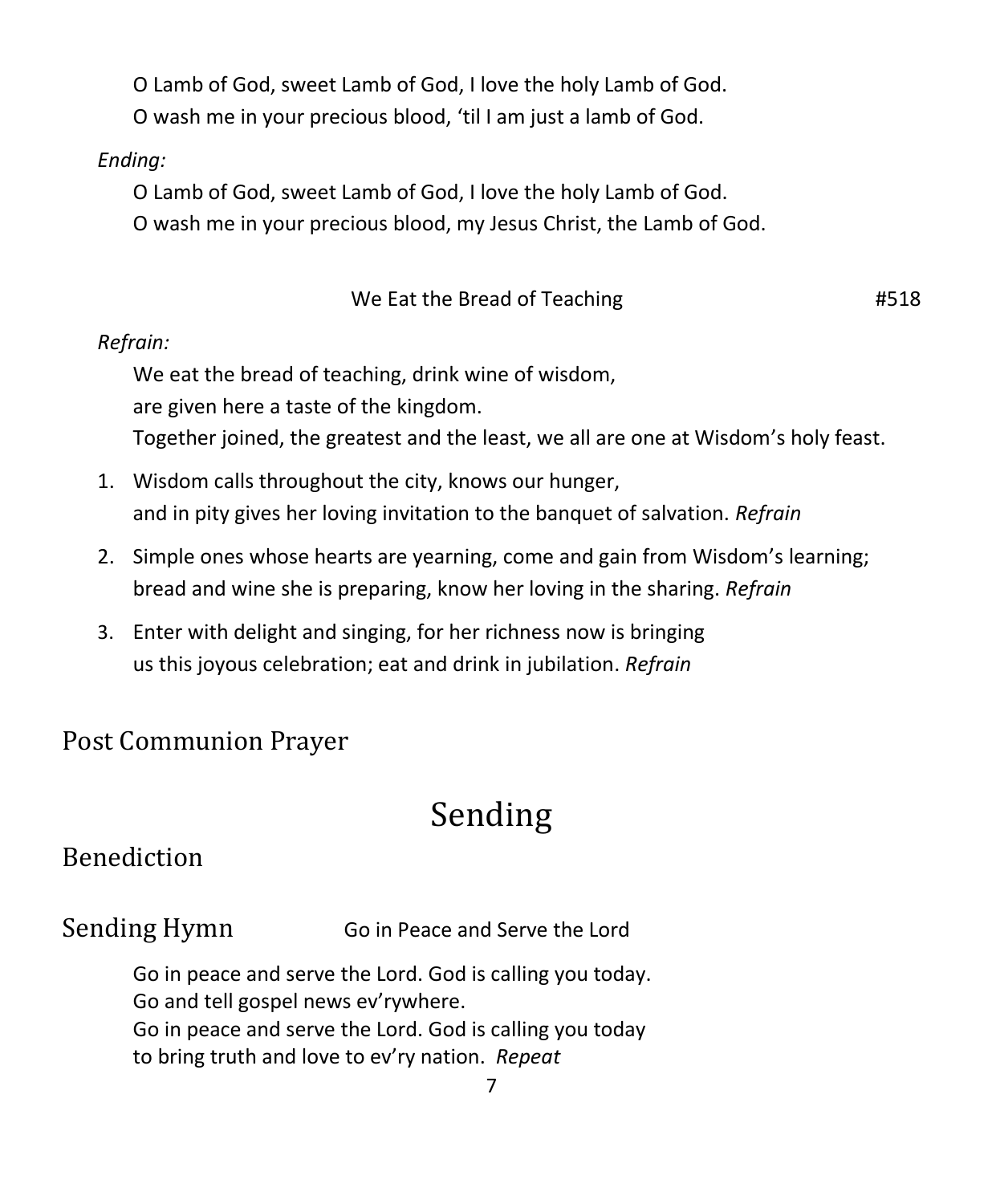O Lamb of God, sweet Lamb of God, I love the holy Lamb of God.

O wash me in your precious blood, 'til I am just a lamb of God.

#### *Ending:*

O Lamb of God, sweet Lamb of God, I love the holy Lamb of God.

O wash me in your precious blood, my Jesus Christ, the Lamb of God.

#### We Eat the Bread of Teaching #518

#### *Refrain:*

We eat the bread of teaching, drink wine of wisdom, are given here a taste of the kingdom.

Together joined, the greatest and the least, we all are one at Wisdom's holy feast.

- 1. Wisdom calls throughout the city, knows our hunger, and in pity gives her loving invitation to the banquet of salvation. *Refrain*
- 2. Simple ones whose hearts are yearning, come and gain from Wisdom's learning; bread and wine she is preparing, know her loving in the sharing. *Refrain*
- 3. Enter with delight and singing, for her richness now is bringing us this joyous celebration; eat and drink in jubilation. *Refrain*

## Post Communion Prayer

# Sending

## Benediction

Sending Hymn Go in Peace and Serve the Lord

Go in peace and serve the Lord. God is calling you today. Go and tell gospel news ev'rywhere. Go in peace and serve the Lord. God is calling you today to bring truth and love to ev'ry nation. *Repeat*